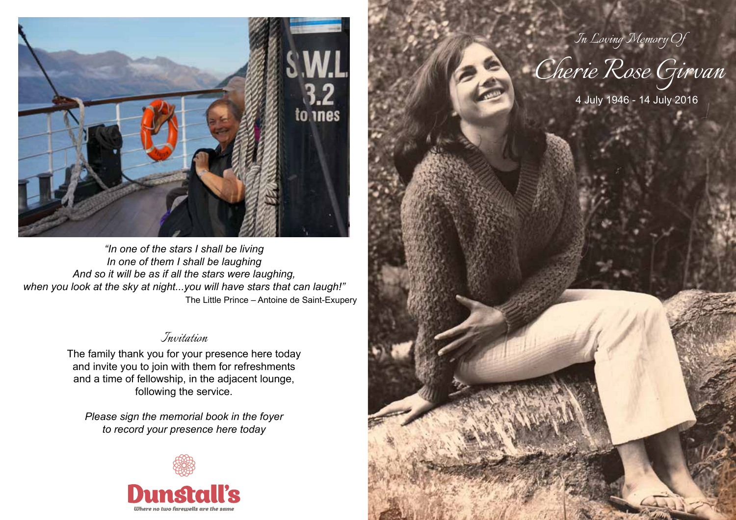

*"In one of the stars I shall be living In one of them I shall be laughing And so it will be as if all the stars were laughing, when you look at the sky at night...you will have stars that can laugh!"* The Little Prince – Antoine de Saint-Exupery

# *Invitation*

The family thank you for your presence here today and invite you to join with them for refreshments and a time of fellowship, in the adjacent lounge, following the service.

*Please sign the memorial book in the foyer to record your presence here today*



*Cherie Rose Girvan In Loving Memory Of*

4 July 1946 - 14 July 2016